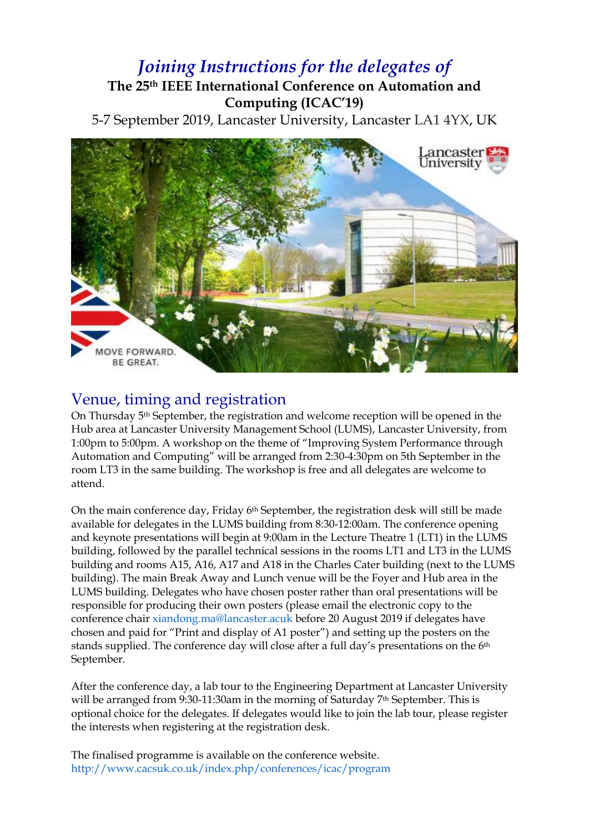### *Joining Instructions for the delegates of* **The 25th IEEE International Conference on Automation and Computing (ICAC'19)**

5-7 September 2019, Lancaster University, Lancaster LA1 4YX, UK



### Venue, timing and registration

On Thursday 5<sup>th</sup> September, the registration and welcome reception will be opened in the Hub area at Lancaster University Management School (LUMS), Lancaster University, from 1:00pm to 5:00pm. A workshop on the theme of "Improving System Performance through Automation and Computing" will be arranged from 2:30-4:30pm on 5th September in the room LT3 in the same building. The workshop is free and all delegates are welcome to attend.

On the main conference day, Friday  $6<sup>th</sup>$  September, the registration desk will still be made available for delegates in the LUMS building from 8:30-12:00am. The conference opening and keynote presentations will begin at 9:00am in the Lecture Theatre 1 (LT1) in the LUMS building, followed by the parallel technical sessions in the rooms LT1 and LT3 in the LUMS building and rooms A15, A16, A17 and A18 in the Charles Cater building (next to the LUMS building). The main Break Away and Lunch venue will be the Foyer and Hub area in the LUMS building. Delegates who have chosen poster rather than oral presentations will be responsible for producing their own posters (please email the electronic copy to the conference chair [xiandong.ma@lancaster.acuk](mailto:xiandong.ma@lancaster.acuk) before 20 August 2019 if delegates have chosen and paid for "Print and display of A1 poster") and setting up the posters on the stands supplied. The conference day will close after a full day's presentations on the 6th September.

After the conference day, a lab tour to the Engineering Department at Lancaster University will be arranged from 9:30-11:30am in the morning of Saturday 7<sup>th</sup> September. This is optional choice for the delegates. If delegates would like to join the lab tour, please register the interests when registering at the registration desk.

The finalised programme is available on the conference website. <http://www.cacsuk.co.uk/index.php/conferences/icac/program>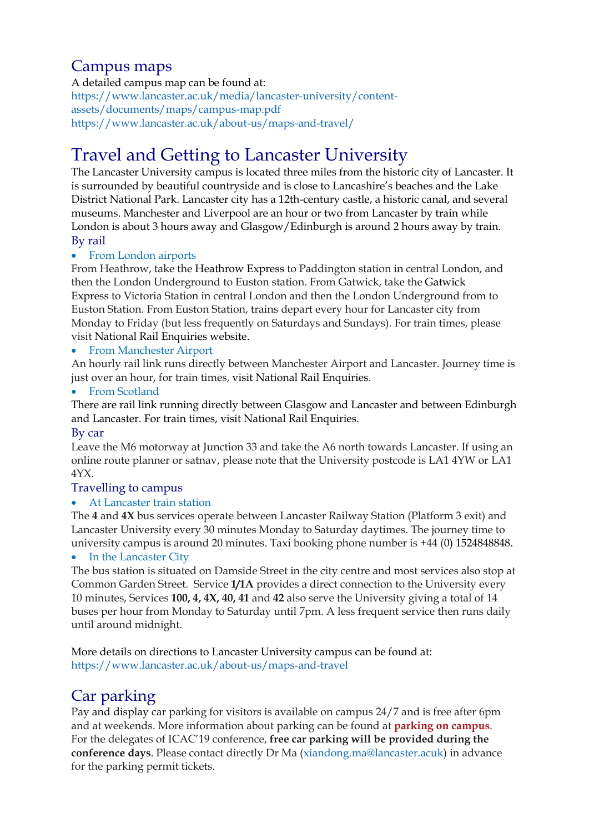### Campus maps

A detailed campus map can be found at: [https://www.lancaster.ac.uk/media/lancaster-university/content](https://www.lancaster.ac.uk/media/lancaster-university/content-assets/documents/maps/campus-map.pdf)[assets/documents/maps/campus-map.pdf](https://www.lancaster.ac.uk/media/lancaster-university/content-assets/documents/maps/campus-map.pdf) <https://www.lancaster.ac.uk/about-us/maps-and-travel/>

# Travel and Getting to Lancaster University

The Lancaster University campus is located three miles from the historic city of Lancaster. It is surrounded by beautiful countryside and is close to Lancashire's beaches and the Lake District National Park. Lancaster city has a 12th-century castle, a historic canal, and several museums. Manchester and Liverpool are an hour or two from Lancaster by train while London is about 3 hours away and Glasgow/Edinburgh is around 2 hours away by train. By rail

#### • From London airports

From Heathrow, take the [Heathrow Express](http://www.heathrowexpress.com/) to Paddington station in central London, and then the London Underground to Euston station. From Gatwick, take the [Gatwick](http://www.gatwickexpress.com/)  [Express](http://www.gatwickexpress.com/) to Victoria Station in central London and then the London Underground from to Euston Station. From Euston Station, trains depart every hour for Lancaster city from Monday to Friday (but less frequently on Saturdays and Sundays). For train times, please visit [National Rail Enquiries website.](http://www.nationalrail.co.uk/)

#### From Manchester Airport

An hourly rail link runs directly between Manchester Airport and Lancaster. Journey time is just over an hour, for train times, visit [National Rail Enquiries.](http://www.nationalrail.co.uk/)

#### • From Scotland

There are rail link running directly between Glasgow and Lancaster and between Edinburgh and Lancaster. For train times, visit [National Rail Enquiries.](http://www.nationalrail.co.uk/)

#### By car

Leave the M6 motorway at Junction 33 and take the A6 north towards Lancaster. If using an online route planner or satnav, please note that the University postcode is LA1 4YW or LA1 4YX.

#### Travelling to campus

#### At Lancaster train station

The **4** and **4X** bus services operate between Lancaster Railway Station (Platform 3 exit) and Lancaster University every 30 minutes Monday to Saturday daytimes. The journey time to university campus is around 20 minutes. Taxi booking phone number is +44 (0) 1524848848.

#### • In the Lancaster City

The bus station is situated on Damside Street in the city centre and most services also stop at Common Garden Street. Service **1/1A** provides a direct connection to the University every 10 minutes, Services **100, 4, 4X, 40, 41** and **42** also serve the University giving a total of 14 buses per hour from Monday to Saturday until 7pm. A less frequent service then runs daily until around midnight.

More details on directions to Lancaster University campus can be found at: <https://www.lancaster.ac.uk/about-us/maps-and-travel>

### Car parking

Pay and display car parking for visitors is available on campus 24/7 and is free after 6pm and at weekends. More information about parking can be found at **[parking on campus](https://www.lancaster.ac.uk/sustainability/travel/parking/)**. For the delegates of ICAC'19 conference, **free car parking will be provided during the conference days**. Please contact directly Dr Ma [\(xiandong.ma@lancaster.acuk\)](mailto:xiandong.ma@lancaster.acuk) in advance for the parking permit tickets.